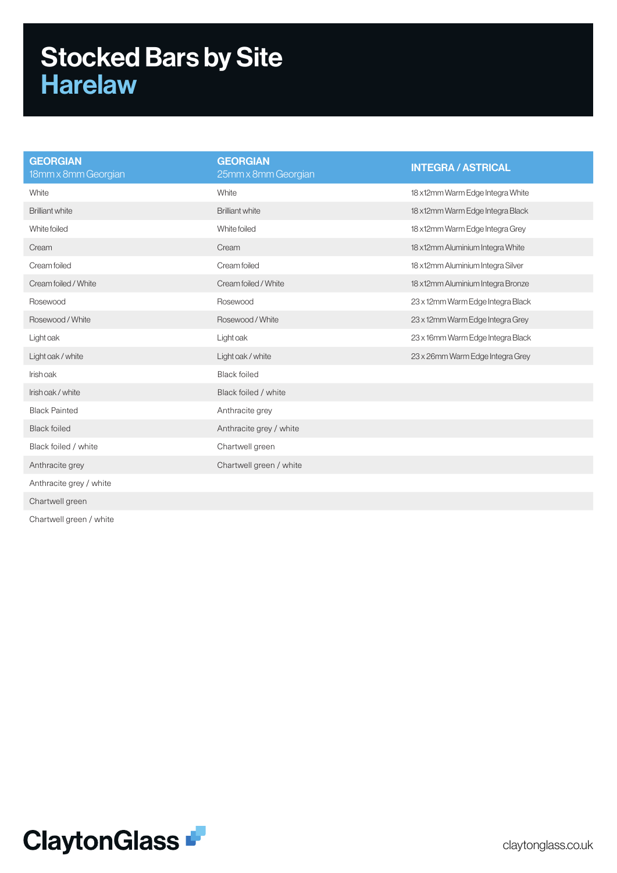## Stocked Bars by Site Harelaw

| <b>GEORGIAN</b><br>25mm x 8mm Georgian | <b>INTEGRA / ASTRICAL</b>         |
|----------------------------------------|-----------------------------------|
| White                                  | 18 x12mm Warm Edge Integra White  |
| <b>Brilliant white</b>                 | 18 x12mm Warm Edge Integra Black  |
| White foiled                           | 18 x12mm Warm Edge Integra Grey   |
| Cream                                  | 18 x12mm Aluminium Integra White  |
| Cream foiled                           | 18 x12mm Aluminium Integra Silver |
| Cream foiled / White                   | 18 x12mm Aluminium Integra Bronze |
| Rosewood                               | 23 x 12mm Warm Edge Integra Black |
| Rosewood / White                       | 23 x 12mm Warm Edge Integra Grey  |
| Light oak                              | 23 x 16mm Warm Edge Integra Black |
| Light oak / white                      | 23 x 26mm Warm Edge Integra Grey  |
| <b>Black foiled</b>                    |                                   |
| Black foiled / white                   |                                   |
| Anthracite grey                        |                                   |
| Anthracite grey / white                |                                   |
| Chartwell green                        |                                   |
| Chartwell green / white                |                                   |
|                                        |                                   |
|                                        |                                   |
|                                        |                                   |

Chartwell green / white